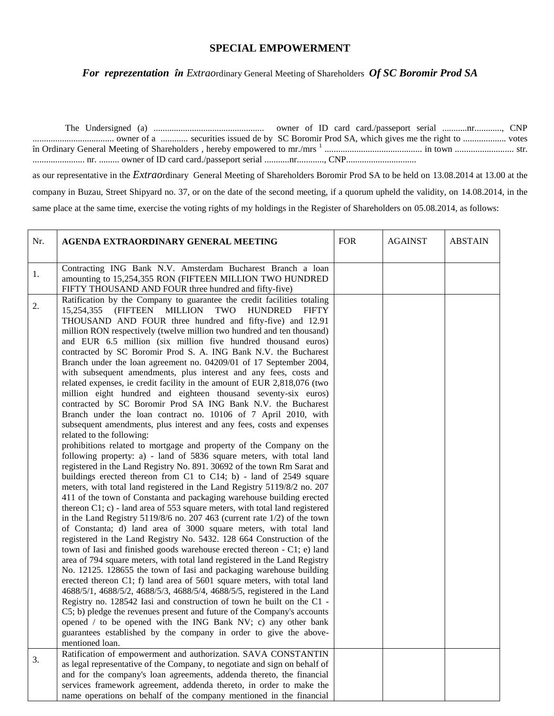## **SPECIAL EMPOWERMENT**

*For reprezentation în Extrao*rdinary General Meeting of Shareholders *Of SC Boromir Prod SA*

The Undersigned (a) ................................................. owner of ID card card./passeport serial ...........nr............, CNP .................................... owner of a ............ securities issued de by SC Boromir Prod SA, which gives me the right to ................... votes în Ordinary General Meeting of Shareholders , hereby empowered to mr./mrs <sup>1</sup> ........................................... in town .......................... str. ....................... nr. ......... owner of ID card card./passeport serial ...........nr............, CNP............................... as our representative in the *Extrao*rdinary General Meeting of Shareholders Boromir Prod SA to be held on 13.08.2014 at 13.00 at the company in Buzau, Street Shipyard no. 37, or on the date of the second meeting, if a quorum upheld the validity, on 14.08.2014, in the same place at the same time, exercise the voting rights of my holdings in the Register of Shareholders on 05.08.2014, as follows:

| Nr. | AGENDA EXTRAORDINARY GENERAL MEETING                                                                                                                                                                                                                                                                                                                                                                                                                                                                                                                                                                                                                                                                                                                                                                                                                                                                                                                                                                                                                                                                                                                                                                                                                                                                                                                                                                                                                                                                                                                                                                                                                                                                                                                                                                                                                                                                                                                                                                                                                                                                                                                                                                                                                                                                                                                                                                                                                                                                   | <b>FOR</b> | <b>AGAINST</b> | <b>ABSTAIN</b> |
|-----|--------------------------------------------------------------------------------------------------------------------------------------------------------------------------------------------------------------------------------------------------------------------------------------------------------------------------------------------------------------------------------------------------------------------------------------------------------------------------------------------------------------------------------------------------------------------------------------------------------------------------------------------------------------------------------------------------------------------------------------------------------------------------------------------------------------------------------------------------------------------------------------------------------------------------------------------------------------------------------------------------------------------------------------------------------------------------------------------------------------------------------------------------------------------------------------------------------------------------------------------------------------------------------------------------------------------------------------------------------------------------------------------------------------------------------------------------------------------------------------------------------------------------------------------------------------------------------------------------------------------------------------------------------------------------------------------------------------------------------------------------------------------------------------------------------------------------------------------------------------------------------------------------------------------------------------------------------------------------------------------------------------------------------------------------------------------------------------------------------------------------------------------------------------------------------------------------------------------------------------------------------------------------------------------------------------------------------------------------------------------------------------------------------------------------------------------------------------------------------------------------------|------------|----------------|----------------|
|     |                                                                                                                                                                                                                                                                                                                                                                                                                                                                                                                                                                                                                                                                                                                                                                                                                                                                                                                                                                                                                                                                                                                                                                                                                                                                                                                                                                                                                                                                                                                                                                                                                                                                                                                                                                                                                                                                                                                                                                                                                                                                                                                                                                                                                                                                                                                                                                                                                                                                                                        |            |                |                |
| 1.  | Contracting ING Bank N.V. Amsterdam Bucharest Branch a loan<br>amounting to 15,254,355 RON (FIFTEEN MILLION TWO HUNDRED<br>FIFTY THOUSAND AND FOUR three hundred and fifty-five)                                                                                                                                                                                                                                                                                                                                                                                                                                                                                                                                                                                                                                                                                                                                                                                                                                                                                                                                                                                                                                                                                                                                                                                                                                                                                                                                                                                                                                                                                                                                                                                                                                                                                                                                                                                                                                                                                                                                                                                                                                                                                                                                                                                                                                                                                                                       |            |                |                |
| 2.  | Ratification by the Company to guarantee the credit facilities totaling<br>(FIFTEEN MILLION<br>15,254,355<br>TWO<br><b>HUNDRED</b><br><b>FIFTY</b><br>THOUSAND AND FOUR three hundred and fifty-five) and 12.91<br>million RON respectively (twelve million two hundred and ten thousand)<br>and EUR 6.5 million (six million five hundred thousand euros)<br>contracted by SC Boromir Prod S. A. ING Bank N.V. the Bucharest<br>Branch under the loan agreement no. 04209/01 of 17 September 2004,<br>with subsequent amendments, plus interest and any fees, costs and<br>related expenses, ie credit facility in the amount of EUR 2,818,076 (two<br>million eight hundred and eighteen thousand seventy-six euros)<br>contracted by SC Boromir Prod SA ING Bank N.V. the Bucharest<br>Branch under the loan contract no. 10106 of 7 April 2010, with<br>subsequent amendments, plus interest and any fees, costs and expenses<br>related to the following:<br>prohibitions related to mortgage and property of the Company on the<br>following property: a) - land of 5836 square meters, with total land<br>registered in the Land Registry No. 891. 30692 of the town Rm Sarat and<br>buildings erected thereon from C1 to C14; b) - land of 2549 square<br>meters, with total land registered in the Land Registry 5119/8/2 no. 207<br>411 of the town of Constanta and packaging warehouse building erected<br>thereon C1; c) - land area of 553 square meters, with total land registered<br>in the Land Registry 5119/8/6 no. 207 463 (current rate $1/2$ ) of the town<br>of Constanta; d) land area of 3000 square meters, with total land<br>registered in the Land Registry No. 5432. 128 664 Construction of the<br>town of Iasi and finished goods warehouse erected thereon - C1; e) land<br>area of 794 square meters, with total land registered in the Land Registry<br>No. 12125. 128655 the town of Iasi and packaging warehouse building<br>erected thereon C1; f) land area of 5601 square meters, with total land<br>4688/5/1, 4688/5/2, 4688/5/3, 4688/5/4, 4688/5/5, registered in the Land<br>Registry no. 128542 Iasi and construction of town he built on the C1 -<br>C5; b) pledge the revenues present and future of the Company's accounts<br>opened / to be opened with the ING Bank NV; c) any other bank<br>guarantees established by the company in order to give the above-<br>mentioned loan.<br>Ratification of empowerment and authorization. SAVA CONSTANTIN |            |                |                |
| 3.  | as legal representative of the Company, to negotiate and sign on behalf of<br>and for the company's loan agreements, addenda thereto, the financial<br>services framework agreement, addenda thereto, in order to make the<br>name operations on behalf of the company mentioned in the financial                                                                                                                                                                                                                                                                                                                                                                                                                                                                                                                                                                                                                                                                                                                                                                                                                                                                                                                                                                                                                                                                                                                                                                                                                                                                                                                                                                                                                                                                                                                                                                                                                                                                                                                                                                                                                                                                                                                                                                                                                                                                                                                                                                                                      |            |                |                |